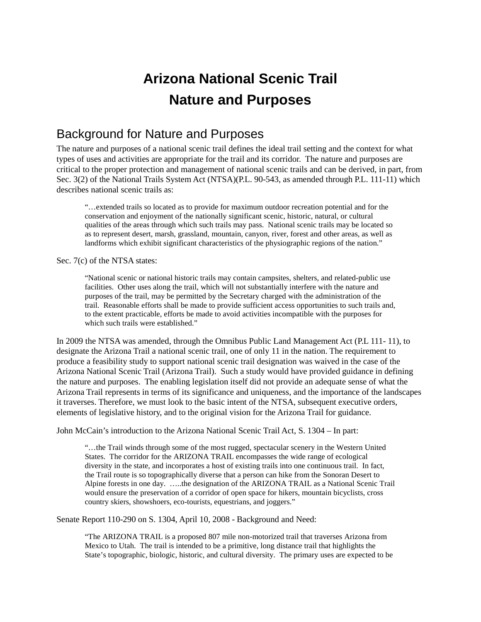# **Arizona National Scenic Trail Nature and Purposes**

## Background for Nature and Purposes

The nature and purposes of a national scenic trail defines the ideal trail setting and the context for what types of uses and activities are appropriate for the trail and its corridor. The nature and purposes are critical to the proper protection and management of national scenic trails and can be derived, in part, from Sec. 3(2) of the National Trails System Act (NTSA)(P.L. 90-543, as amended through P.L. 111-11) which describes national scenic trails as:

"…extended trails so located as to provide for maximum outdoor recreation potential and for the conservation and enjoyment of the nationally significant scenic, historic, natural, or cultural qualities of the areas through which such trails may pass. National scenic trails may be located so as to represent desert, marsh, grassland, mountain, canyon, river, forest and other areas, as well as landforms which exhibit significant characteristics of the physiographic regions of the nation."

#### Sec. 7(c) of the NTSA states:

"National scenic or national historic trails may contain campsites, shelters, and related-public use facilities. Other uses along the trail, which will not substantially interfere with the nature and purposes of the trail, may be permitted by the Secretary charged with the administration of the trail. Reasonable efforts shall be made to provide sufficient access opportunities to such trails and, to the extent practicable, efforts be made to avoid activities incompatible with the purposes for which such trails were established."

In 2009 the NTSA was amended, through the Omnibus Public Land Management Act (P.L 111- 11), to designate the Arizona Trail a national scenic trail, one of only 11 in the nation. The requirement to produce a feasibility study to support national scenic trail designation was waived in the case of the Arizona National Scenic Trail (Arizona Trail). Such a study would have provided guidance in defining the nature and purposes. The enabling legislation itself did not provide an adequate sense of what the Arizona Trail represents in terms of its significance and uniqueness, and the importance of the landscapes it traverses. Therefore, we must look to the basic intent of the NTSA, subsequent executive orders, elements of legislative history, and to the original vision for the Arizona Trail for guidance.

John McCain's introduction to the Arizona National Scenic Trail Act, S. 1304 – In part:

"…the Trail winds through some of the most rugged, spectacular scenery in the Western United States. The corridor for the ARIZONA TRAIL encompasses the wide range of ecological diversity in the state, and incorporates a host of existing trails into one continuous trail. In fact, the Trail route is so topographically diverse that a person can hike from the Sonoran Desert to Alpine forests in one day. …..the designation of the ARIZONA TRAIL as a National Scenic Trail would ensure the preservation of a corridor of open space for hikers, mountain bicyclists, cross country skiers, showshoers, eco-tourists, equestrians, and joggers."

Senate Report 110-290 on S. 1304, April 10, 2008 - Background and Need:

"The ARIZONA TRAIL is a proposed 807 mile non-motorized trail that traverses Arizona from Mexico to Utah. The trail is intended to be a primitive, long distance trail that highlights the State's topographic, biologic, historic, and cultural diversity. The primary uses are expected to be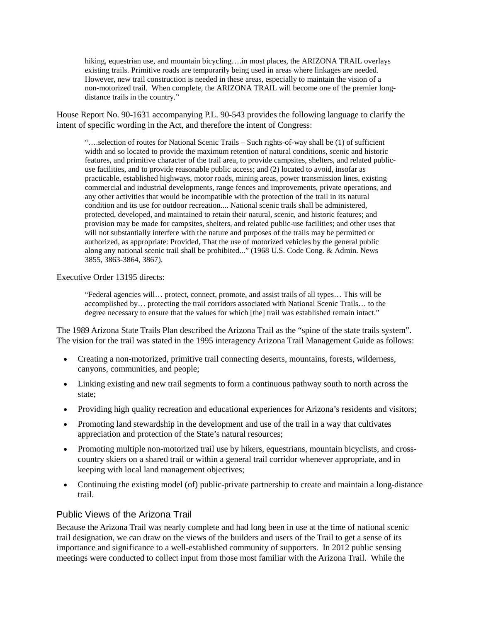hiking, equestrian use, and mountain bicycling….in most places, the ARIZONA TRAIL overlays existing trails. Primitive roads are temporarily being used in areas where linkages are needed. However, new trail construction is needed in these areas, especially to maintain the vision of a non-motorized trail. When complete, the ARIZONA TRAIL will become one of the premier longdistance trails in the country."

House Report No. 90-1631 accompanying P.L. 90-543 provides the following language to clarify the intent of specific wording in the Act, and therefore the intent of Congress:

"….selection of routes for National Scenic Trails – Such rights-of-way shall be (1) of sufficient width and so located to provide the maximum retention of natural conditions, scenic and historic features, and primitive character of the trail area, to provide campsites, shelters, and related publicuse facilities, and to provide reasonable public access; and (2) located to avoid, insofar as practicable, established highways, motor roads, mining areas, power transmission lines, existing commercial and industrial developments, range fences and improvements, private operations, and any other activities that would be incompatible with the protection of the trail in its natural condition and its use for outdoor recreation.... National scenic trails shall be administered, protected, developed, and maintained to retain their natural, scenic, and historic features; and provision may be made for campsites, shelters, and related public-use facilities; and other uses that will not substantially interfere with the nature and purposes of the trails may be permitted or authorized, as appropriate: Provided, That the use of motorized vehicles by the general public along any national scenic trail shall be prohibited..." (1968 U.S. Code Cong. & Admin. News 3855, 3863-3864, 3867).

Executive Order 13195 directs:

"Federal agencies will… protect, connect, promote, and assist trails of all types… This will be accomplished by… protecting the trail corridors associated with National Scenic Trails… to the degree necessary to ensure that the values for which [the] trail was established remain intact."

The 1989 Arizona State Trails Plan described the Arizona Trail as the "spine of the state trails system". The vision for the trail was stated in the 1995 interagency Arizona Trail Management Guide as follows:

- Creating a non-motorized, primitive trail connecting deserts, mountains, forests, wilderness, canyons, communities, and people;
- Linking existing and new trail segments to form a continuous pathway south to north across the state;
- Providing high quality recreation and educational experiences for Arizona's residents and visitors;
- Promoting land stewardship in the development and use of the trail in a way that cultivates appreciation and protection of the State's natural resources;
- Promoting multiple non-motorized trail use by hikers, equestrians, mountain bicyclists, and crosscountry skiers on a shared trail or within a general trail corridor whenever appropriate, and in keeping with local land management objectives;
- Continuing the existing model (of) public-private partnership to create and maintain a long-distance trail.

#### Public Views of the Arizona Trail

Because the Arizona Trail was nearly complete and had long been in use at the time of national scenic trail designation, we can draw on the views of the builders and users of the Trail to get a sense of its importance and significance to a well-established community of supporters. In 2012 public sensing meetings were conducted to collect input from those most familiar with the Arizona Trail. While the